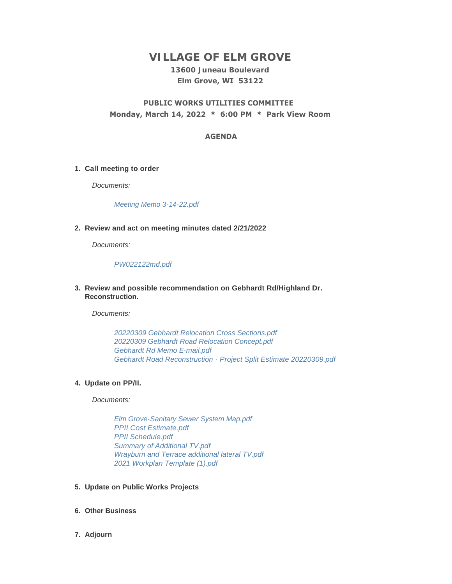# **VILLAGE OF ELM GROVE**

### **13600 Juneau Boulevard Elm Grove, WI 53122**

## **PUBLIC WORKS UTILITIES COMMITTEE Monday, March 14, 2022 \* 6:00 PM \* Park View Room**

#### **AGENDA**

#### **Call meeting to order 1.**

*Documents:*

*[Meeting Memo 3-14-22.pdf](https://elmgrovewi.org/AgendaCenter/ViewFile/Item/11584?fileID=18206)*

#### **Review and act on meeting minutes dated 2/21/2022 2.**

*Documents:*

#### *[PW022122md.pdf](https://elmgrovewi.org/AgendaCenter/ViewFile/Item/11600?fileID=18205)*

**Review and possible recommendation on Gebhardt Rd/Highland Dr. 3. Reconstruction.**

*Documents:*

*[20220309 Gebhardt Relocation Cross Sections.pdf](https://elmgrovewi.org/AgendaCenter/ViewFile/Item/11601?fileID=18207) [20220309 Gebhardt Road Relocation Concept.pdf](https://elmgrovewi.org/AgendaCenter/ViewFile/Item/11601?fileID=18208) [Gebhardt Rd Memo E-mail.pdf](https://elmgrovewi.org/AgendaCenter/ViewFile/Item/11601?fileID=18209) [Gebhardt Road Reconstruction - Project Split Estimate 20220309.pdf](https://elmgrovewi.org/AgendaCenter/ViewFile/Item/11601?fileID=18210)*

#### **Update on PP/II. 4.**

*Documents:*

*[Elm Grove-Sanitary Sewer System Map.pdf](https://elmgrovewi.org/AgendaCenter/ViewFile/Item/11602?fileID=18212) [PPII Cost Estimate.pdf](https://elmgrovewi.org/AgendaCenter/ViewFile/Item/11602?fileID=18213) [PPII Schedule.pdf](https://elmgrovewi.org/AgendaCenter/ViewFile/Item/11602?fileID=18214) [Summary of Additional TV.pdf](https://elmgrovewi.org/AgendaCenter/ViewFile/Item/11602?fileID=18215) [Wrayburn and Terrace additional lateral TV.pdf](https://elmgrovewi.org/AgendaCenter/ViewFile/Item/11602?fileID=18216) [2021 Workplan Template \(1\).pdf](https://elmgrovewi.org/AgendaCenter/ViewFile/Item/11602?fileID=18217)*

#### **Update on Public Works Projects 5.**

- **Other Business 6.**
- **Adjourn 7.**